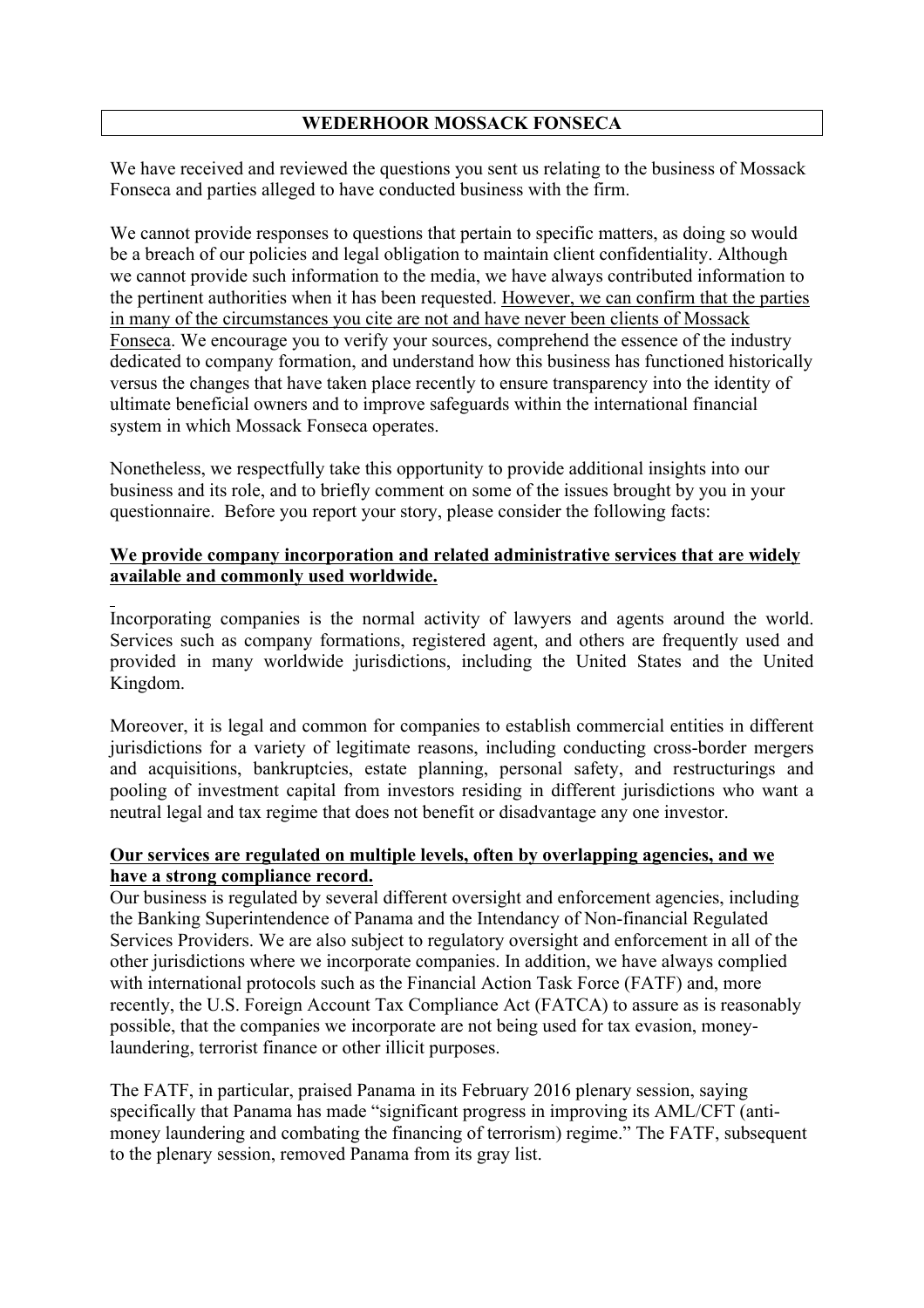# **WEDERHOOR MOSSACK FONSECA**

We have received and reviewed the questions you sent us relating to the business of Mossack Fonseca and parties alleged to have conducted business with the firm.

We cannot provide responses to questions that pertain to specific matters, as doing so would be a breach of our policies and legal obligation to maintain client confidentiality. Although we cannot provide such information to the media, we have always contributed information to the pertinent authorities when it has been requested. However, we can confirm that the parties in many of the circumstances you cite are not and have never been clients of Mossack Fonseca. We encourage you to verify your sources, comprehend the essence of the industry dedicated to company formation, and understand how this business has functioned historically versus the changes that have taken place recently to ensure transparency into the identity of ultimate beneficial owners and to improve safeguards within the international financial system in which Mossack Fonseca operates.

Nonetheless, we respectfully take this opportunity to provide additional insights into our business and its role, and to briefly comment on some of the issues brought by you in your questionnaire. Before you report your story, please consider the following facts:

## **We provide company incorporation and related administrative services that are widely available and commonly used worldwide.**

Incorporating companies is the normal activity of lawyers and agents around the world. Services such as company formations, registered agent, and others are frequently used and provided in many worldwide jurisdictions, including the United States and the United Kingdom.

Moreover, it is legal and common for companies to establish commercial entities in different jurisdictions for a variety of legitimate reasons, including conducting cross-border mergers and acquisitions, bankruptcies, estate planning, personal safety, and restructurings and pooling of investment capital from investors residing in different jurisdictions who want a neutral legal and tax regime that does not benefit or disadvantage any one investor.

### **Our services are regulated on multiple levels, often by overlapping agencies, and we have a strong compliance record.**

Our business is regulated by several different oversight and enforcement agencies, including the Banking Superintendence of Panama and the Intendancy of Non-financial Regulated Services Providers. We are also subject to regulatory oversight and enforcement in all of the other jurisdictions where we incorporate companies. In addition, we have always complied with international protocols such as the Financial Action Task Force (FATF) and, more recently, the U.S. Foreign Account Tax Compliance Act (FATCA) to assure as is reasonably possible, that the companies we incorporate are not being used for tax evasion, moneylaundering, terrorist finance or other illicit purposes.

The FATF, in particular, praised Panama in its February 2016 plenary session, saying specifically that Panama has made "significant progress in improving its AML/CFT (antimoney laundering and combating the financing of terrorism) regime." The FATF, subsequent to the plenary session, removed Panama from its gray list.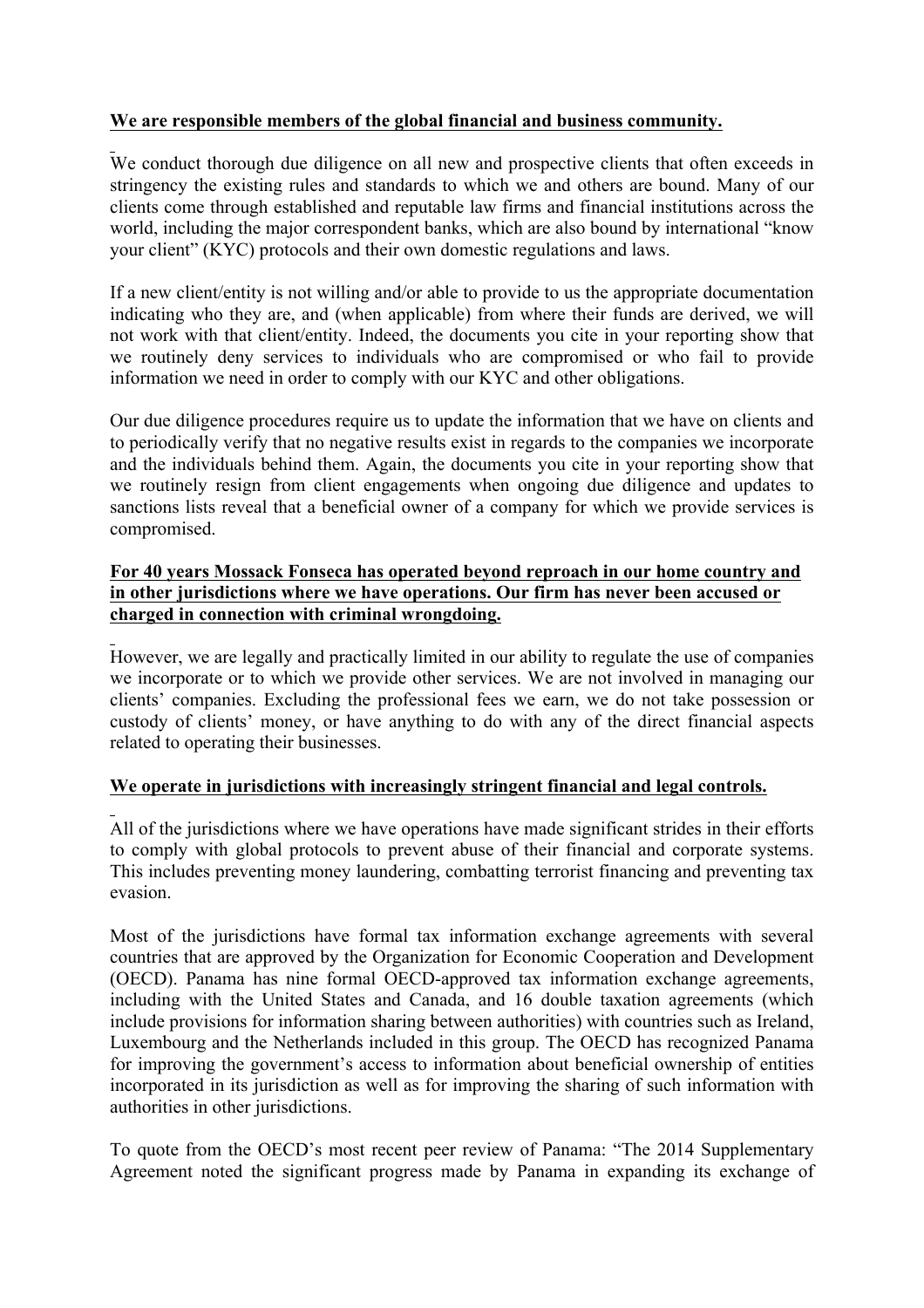# **We are responsible members of the global financial and business community.**

We conduct thorough due diligence on all new and prospective clients that often exceeds in stringency the existing rules and standards to which we and others are bound. Many of our clients come through established and reputable law firms and financial institutions across the world, including the major correspondent banks, which are also bound by international "know your client" (KYC) protocols and their own domestic regulations and laws.

If a new client/entity is not willing and/or able to provide to us the appropriate documentation indicating who they are, and (when applicable) from where their funds are derived, we will not work with that client/entity. Indeed, the documents you cite in your reporting show that we routinely deny services to individuals who are compromised or who fail to provide information we need in order to comply with our KYC and other obligations.

Our due diligence procedures require us to update the information that we have on clients and to periodically verify that no negative results exist in regards to the companies we incorporate and the individuals behind them. Again, the documents you cite in your reporting show that we routinely resign from client engagements when ongoing due diligence and updates to sanctions lists reveal that a beneficial owner of a company for which we provide services is compromised.

## **For 40 years Mossack Fonseca has operated beyond reproach in our home country and in other jurisdictions where we have operations. Our firm has never been accused or charged in connection with criminal wrongdoing.**

However, we are legally and practically limited in our ability to regulate the use of companies we incorporate or to which we provide other services. We are not involved in managing our clients' companies. Excluding the professional fees we earn, we do not take possession or custody of clients' money, or have anything to do with any of the direct financial aspects related to operating their businesses.

## **We operate in jurisdictions with increasingly stringent financial and legal controls.**

All of the jurisdictions where we have operations have made significant strides in their efforts to comply with global protocols to prevent abuse of their financial and corporate systems. This includes preventing money laundering, combatting terrorist financing and preventing tax evasion.

Most of the jurisdictions have formal tax information exchange agreements with several countries that are approved by the Organization for Economic Cooperation and Development (OECD). Panama has nine formal OECD-approved tax information exchange agreements, including with the United States and Canada, and 16 double taxation agreements (which include provisions for information sharing between authorities) with countries such as Ireland, Luxembourg and the Netherlands included in this group. The OECD has recognized Panama for improving the government's access to information about beneficial ownership of entities incorporated in its jurisdiction as well as for improving the sharing of such information with authorities in other jurisdictions.

To quote from the OECD's most recent peer review of Panama: "The 2014 Supplementary Agreement noted the significant progress made by Panama in expanding its exchange of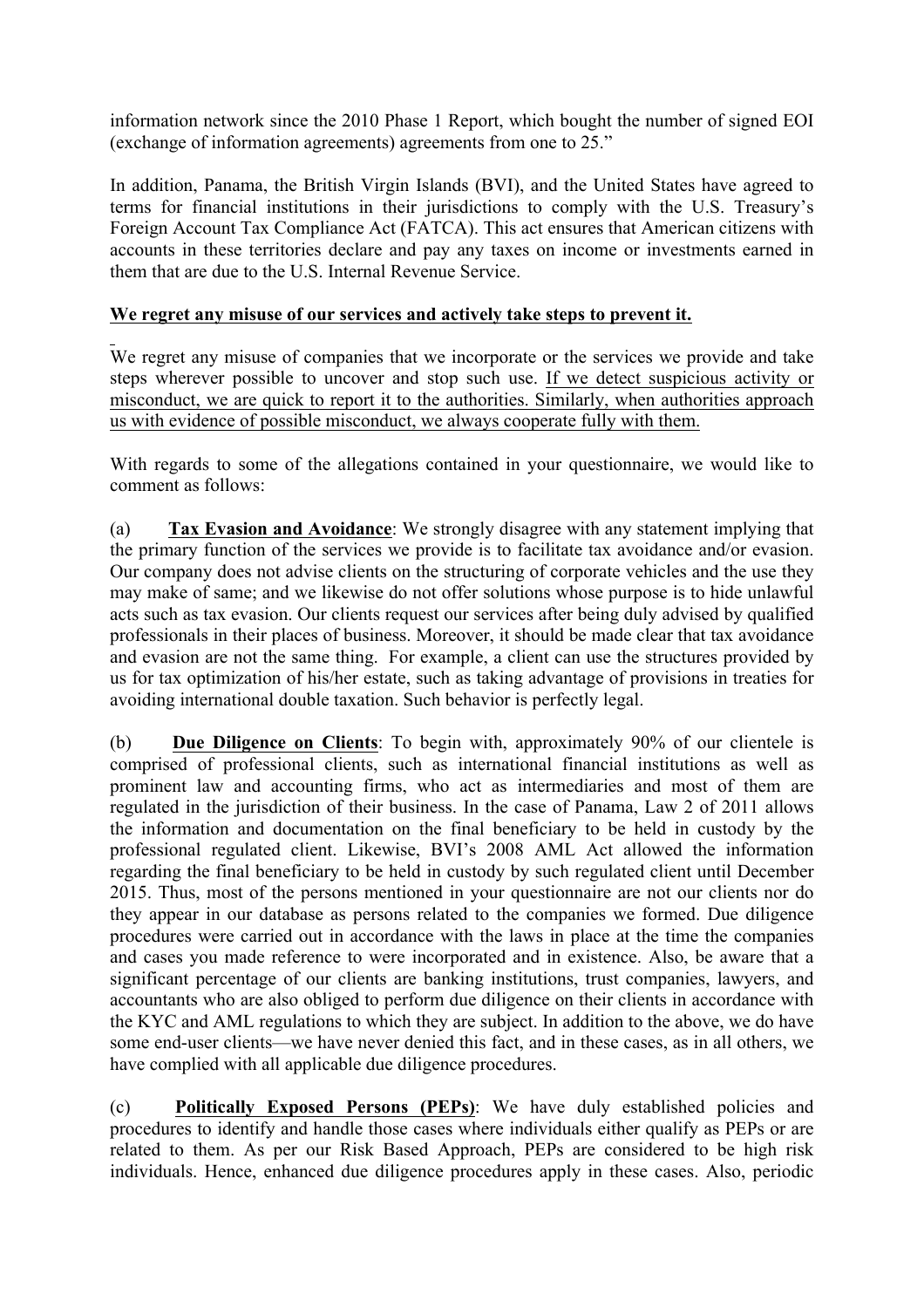information network since the 2010 Phase 1 Report, which bought the number of signed EOI (exchange of information agreements) agreements from one to 25."

In addition, Panama, the British Virgin Islands (BVI), and the United States have agreed to terms for financial institutions in their jurisdictions to comply with the U.S. Treasury's Foreign Account Tax Compliance Act (FATCA). This act ensures that American citizens with accounts in these territories declare and pay any taxes on income or investments earned in them that are due to the U.S. Internal Revenue Service.

# **We regret any misuse of our services and actively take steps to prevent it.**

We regret any misuse of companies that we incorporate or the services we provide and take steps wherever possible to uncover and stop such use. If we detect suspicious activity or misconduct, we are quick to report it to the authorities. Similarly, when authorities approach us with evidence of possible misconduct, we always cooperate fully with them.

With regards to some of the allegations contained in your questionnaire, we would like to comment as follows:

(a) **Tax Evasion and Avoidance**: We strongly disagree with any statement implying that the primary function of the services we provide is to facilitate tax avoidance and/or evasion. Our company does not advise clients on the structuring of corporate vehicles and the use they may make of same; and we likewise do not offer solutions whose purpose is to hide unlawful acts such as tax evasion. Our clients request our services after being duly advised by qualified professionals in their places of business. Moreover, it should be made clear that tax avoidance and evasion are not the same thing. For example, a client can use the structures provided by us for tax optimization of his/her estate, such as taking advantage of provisions in treaties for avoiding international double taxation. Such behavior is perfectly legal.

(b) **Due Diligence on Clients**: To begin with, approximately 90% of our clientele is comprised of professional clients, such as international financial institutions as well as prominent law and accounting firms, who act as intermediaries and most of them are regulated in the jurisdiction of their business. In the case of Panama, Law 2 of 2011 allows the information and documentation on the final beneficiary to be held in custody by the professional regulated client. Likewise, BVI's 2008 AML Act allowed the information regarding the final beneficiary to be held in custody by such regulated client until December 2015. Thus, most of the persons mentioned in your questionnaire are not our clients nor do they appear in our database as persons related to the companies we formed. Due diligence procedures were carried out in accordance with the laws in place at the time the companies and cases you made reference to were incorporated and in existence. Also, be aware that a significant percentage of our clients are banking institutions, trust companies, lawyers, and accountants who are also obliged to perform due diligence on their clients in accordance with the KYC and AML regulations to which they are subject. In addition to the above, we do have some end-user clients—we have never denied this fact, and in these cases, as in all others, we have complied with all applicable due diligence procedures.

(c) **Politically Exposed Persons (PEPs)**: We have duly established policies and procedures to identify and handle those cases where individuals either qualify as PEPs or are related to them. As per our Risk Based Approach, PEPs are considered to be high risk individuals. Hence, enhanced due diligence procedures apply in these cases. Also, periodic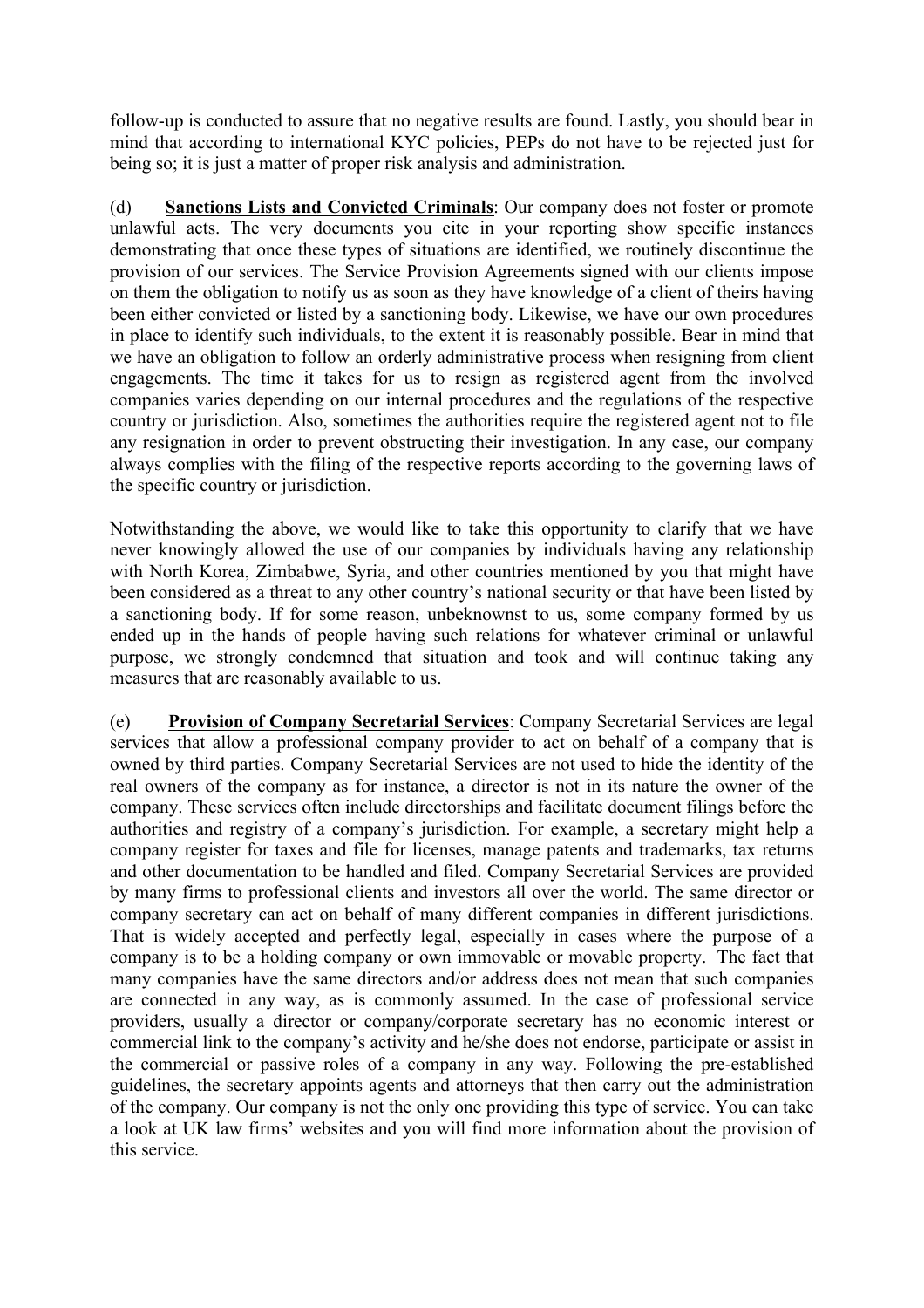follow-up is conducted to assure that no negative results are found. Lastly, you should bear in mind that according to international KYC policies, PEPs do not have to be rejected just for being so; it is just a matter of proper risk analysis and administration.

(d) **Sanctions Lists and Convicted Criminals**: Our company does not foster or promote unlawful acts. The very documents you cite in your reporting show specific instances demonstrating that once these types of situations are identified, we routinely discontinue the provision of our services. The Service Provision Agreements signed with our clients impose on them the obligation to notify us as soon as they have knowledge of a client of theirs having been either convicted or listed by a sanctioning body. Likewise, we have our own procedures in place to identify such individuals, to the extent it is reasonably possible. Bear in mind that we have an obligation to follow an orderly administrative process when resigning from client engagements. The time it takes for us to resign as registered agent from the involved companies varies depending on our internal procedures and the regulations of the respective country or jurisdiction. Also, sometimes the authorities require the registered agent not to file any resignation in order to prevent obstructing their investigation. In any case, our company always complies with the filing of the respective reports according to the governing laws of the specific country or jurisdiction.

Notwithstanding the above, we would like to take this opportunity to clarify that we have never knowingly allowed the use of our companies by individuals having any relationship with North Korea, Zimbabwe, Syria, and other countries mentioned by you that might have been considered as a threat to any other country's national security or that have been listed by a sanctioning body. If for some reason, unbeknownst to us, some company formed by us ended up in the hands of people having such relations for whatever criminal or unlawful purpose, we strongly condemned that situation and took and will continue taking any measures that are reasonably available to us.

(e) **Provision of Company Secretarial Services**: Company Secretarial Services are legal services that allow a professional company provider to act on behalf of a company that is owned by third parties. Company Secretarial Services are not used to hide the identity of the real owners of the company as for instance, a director is not in its nature the owner of the company. These services often include directorships and facilitate document filings before the authorities and registry of a company's jurisdiction. For example, a secretary might help a company register for taxes and file for licenses, manage patents and trademarks, tax returns and other documentation to be handled and filed. Company Secretarial Services are provided by many firms to professional clients and investors all over the world. The same director or company secretary can act on behalf of many different companies in different jurisdictions. That is widely accepted and perfectly legal, especially in cases where the purpose of a company is to be a holding company or own immovable or movable property. The fact that many companies have the same directors and/or address does not mean that such companies are connected in any way, as is commonly assumed. In the case of professional service providers, usually a director or company/corporate secretary has no economic interest or commercial link to the company's activity and he/she does not endorse, participate or assist in the commercial or passive roles of a company in any way. Following the pre-established guidelines, the secretary appoints agents and attorneys that then carry out the administration of the company. Our company is not the only one providing this type of service. You can take a look at UK law firms' websites and you will find more information about the provision of this service.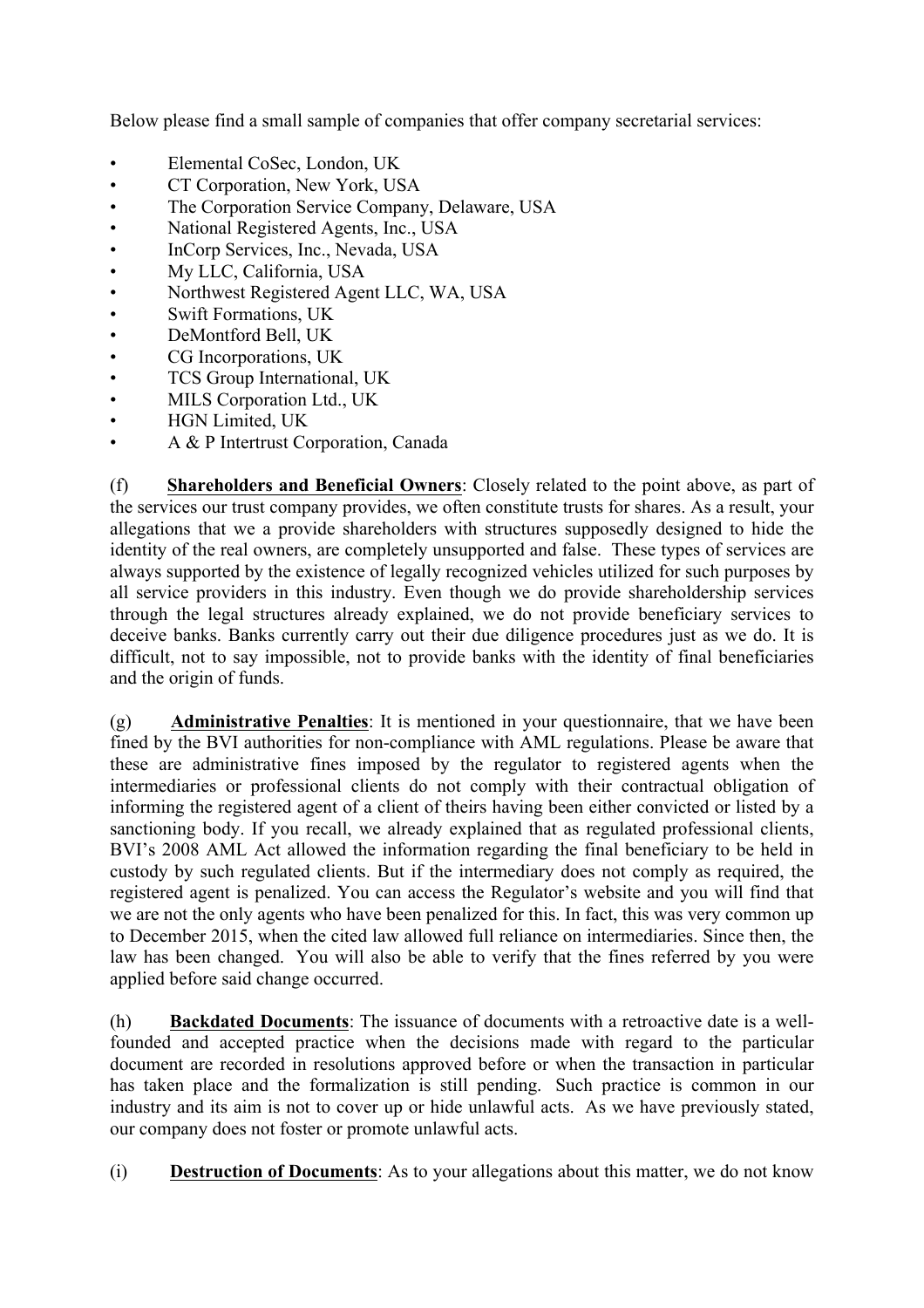Below please find a small sample of companies that offer company secretarial services:

- Elemental CoSec, London, UK
- CT Corporation, New York, USA
- The Corporation Service Company, Delaware, USA
- National Registered Agents, Inc., USA
- InCorp Services, Inc., Nevada, USA
- My LLC, California, USA
- Northwest Registered Agent LLC, WA, USA
- Swift Formations, UK
- DeMontford Bell, UK
- CG Incorporations, UK
- TCS Group International, UK
- MILS Corporation Ltd., UK
- HGN Limited, UK
- A & P Intertrust Corporation, Canada

(f) **Shareholders and Beneficial Owners**: Closely related to the point above, as part of the services our trust company provides, we often constitute trusts for shares. As a result, your allegations that we a provide shareholders with structures supposedly designed to hide the identity of the real owners, are completely unsupported and false. These types of services are always supported by the existence of legally recognized vehicles utilized for such purposes by all service providers in this industry. Even though we do provide shareholdership services through the legal structures already explained, we do not provide beneficiary services to deceive banks. Banks currently carry out their due diligence procedures just as we do. It is difficult, not to say impossible, not to provide banks with the identity of final beneficiaries and the origin of funds.

(g) **Administrative Penalties**: It is mentioned in your questionnaire, that we have been fined by the BVI authorities for non-compliance with AML regulations. Please be aware that these are administrative fines imposed by the regulator to registered agents when the intermediaries or professional clients do not comply with their contractual obligation of informing the registered agent of a client of theirs having been either convicted or listed by a sanctioning body. If you recall, we already explained that as regulated professional clients, BVI's 2008 AML Act allowed the information regarding the final beneficiary to be held in custody by such regulated clients. But if the intermediary does not comply as required, the registered agent is penalized. You can access the Regulator's website and you will find that we are not the only agents who have been penalized for this. In fact, this was very common up to December 2015, when the cited law allowed full reliance on intermediaries. Since then, the law has been changed. You will also be able to verify that the fines referred by you were applied before said change occurred.

(h) **Backdated Documents**: The issuance of documents with a retroactive date is a wellfounded and accepted practice when the decisions made with regard to the particular document are recorded in resolutions approved before or when the transaction in particular has taken place and the formalization is still pending. Such practice is common in our industry and its aim is not to cover up or hide unlawful acts. As we have previously stated, our company does not foster or promote unlawful acts.

(i) **Destruction of Documents**: As to your allegations about this matter, we do not know